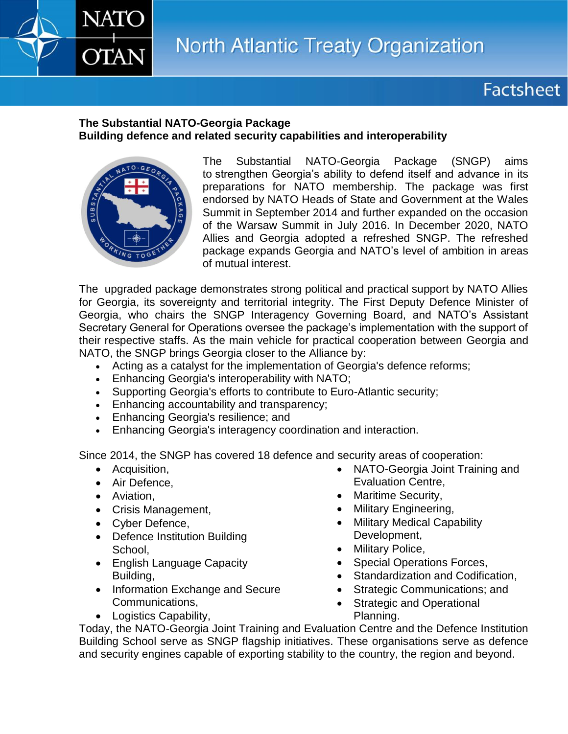## **Factsheet**

## **The Substantial NATO-Georgia Package Building defence and related security capabilities and interoperability**



**NATC** 

**OTAN** 

The Substantial NATO-Georgia Package (SNGP) aims to strengthen Georgia's ability to defend itself and advance in its preparations for NATO membership. The package was first endorsed by NATO Heads of State and Government at the Wales Summit in September 2014 and further expanded on the occasion of the Warsaw Summit in July 2016. In December 2020, NATO Allies and Georgia adopted a refreshed SNGP. The refreshed package expands Georgia and NATO's level of ambition in areas of mutual interest.

The upgraded package demonstrates strong political and practical support by NATO Allies for Georgia, its sovereignty and territorial integrity. The First Deputy Defence Minister of Georgia, who chairs the SNGP Interagency Governing Board, and NATO's Assistant Secretary General for Operations oversee the package's implementation with the support of their respective staffs. As the main vehicle for practical cooperation between Georgia and NATO, the SNGP brings Georgia closer to the Alliance by:

- Acting as a catalyst for the implementation of Georgia's defence reforms;
- Enhancing Georgia's interoperability with NATO;
- Supporting Georgia's efforts to contribute to Euro-Atlantic security;
- **Enhancing accountability and transparency;**
- Enhancing Georgia's resilience; and
- Enhancing Georgia's interagency coordination and interaction.

Since 2014, the SNGP has covered 18 defence and security areas of cooperation:

- **•** Acquisition,
- Air Defence,
- Aviation.
- Crisis Management,
- Cyber Defence,
- Defence Institution Building School,
- English Language Capacity Building,
- Information Exchange and Secure Communications,
- Logistics Capability,
- NATO-Georgia Joint Training and Evaluation Centre,
- Maritime Security,
- Military Engineering,
- Military Medical Capability Development,
- Military Police,
- Special Operations Forces,
- Standardization and Codification,
- Strategic Communications; and
- Strategic and Operational Planning.

Today, the NATO-Georgia Joint Training and Evaluation Centre and the Defence Institution Building School serve as SNGP flagship initiatives. These organisations serve as defence and security engines capable of exporting stability to the country, the region and beyond.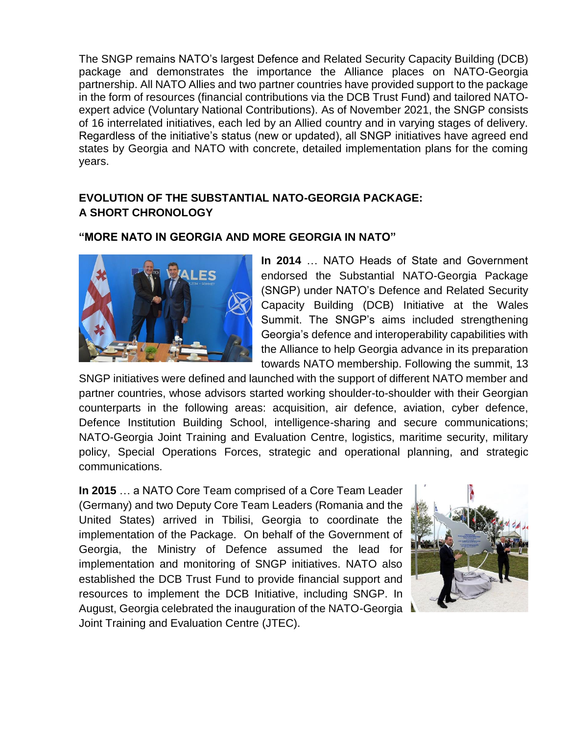The SNGP remains NATO's largest Defence and Related Security Capacity Building (DCB) package and demonstrates the importance the Alliance places on NATO-Georgia partnership. All NATO Allies and two partner countries have provided support to the package in the form of resources (financial contributions via the DCB Trust Fund) and tailored NATOexpert advice (Voluntary National Contributions). As of November 2021, the SNGP consists of 16 interrelated initiatives, each led by an Allied country and in varying stages of delivery. Regardless of the initiative's status (new or updated), all SNGP initiatives have agreed end states by Georgia and NATO with concrete, detailed implementation plans for the coming years.

## **EVOLUTION OF THE SUBSTANTIAL NATO-GEORGIA PACKAGE: A SHORT CHRONOLOGY**

## **"MORE NATO IN GEORGIA AND MORE GEORGIA IN NATO"**



**In 2014** … NATO Heads of State and Government endorsed the Substantial NATO-Georgia Package (SNGP) under NATO's Defence and Related Security Capacity Building (DCB) Initiative at the Wales Summit. The SNGP's aims included strengthening Georgia's defence and interoperability capabilities with the Alliance to help Georgia advance in its preparation towards NATO membership. Following the summit, 13

SNGP initiatives were defined and launched with the support of different NATO member and partner countries, whose advisors started working shoulder-to-shoulder with their Georgian counterparts in the following areas: acquisition, air defence, aviation, cyber defence, Defence Institution Building School, intelligence-sharing and secure communications; NATO-Georgia Joint Training and Evaluation Centre, logistics, maritime security, military policy, Special Operations Forces, strategic and operational planning, and strategic communications.

**In 2015** … a NATO Core Team comprised of a Core Team Leader (Germany) and two Deputy Core Team Leaders (Romania and the United States) arrived in Tbilisi, Georgia to coordinate the implementation of the Package. On behalf of the Government of Georgia, the Ministry of Defence assumed the lead for implementation and monitoring of SNGP initiatives. NATO also established the DCB Trust Fund to provide financial support and resources to implement the DCB Initiative, including SNGP. In August, Georgia celebrated the inauguration of the NATO-Georgia Joint Training and Evaluation Centre (JTEC).

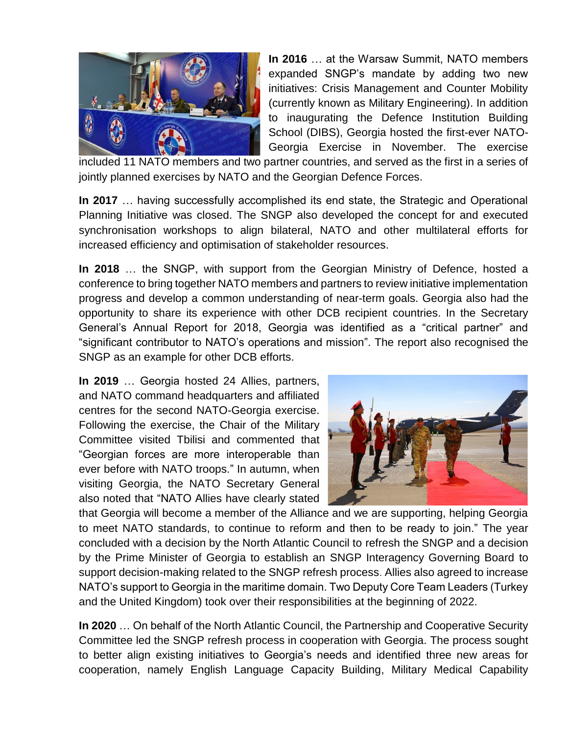

**In 2016** … at the Warsaw Summit, NATO members expanded SNGP's mandate by adding two new initiatives: Crisis Management and Counter Mobility (currently known as Military Engineering). In addition to inaugurating the Defence Institution Building School (DIBS), Georgia hosted the first-ever NATO-Georgia Exercise in November. The exercise

included 11 NATO members and two partner countries, and served as the first in a series of jointly planned exercises by NATO and the Georgian Defence Forces.

**In 2017** … having successfully accomplished its end state, the Strategic and Operational Planning Initiative was closed. The SNGP also developed the concept for and executed synchronisation workshops to align bilateral, NATO and other multilateral efforts for increased efficiency and optimisation of stakeholder resources.

**In 2018** … the SNGP, with support from the Georgian Ministry of Defence, hosted a conference to bring together NATO members and partners to review initiative implementation progress and develop a common understanding of near-term goals. Georgia also had the opportunity to share its experience with other DCB recipient countries. In the Secretary General's Annual Report for 2018, Georgia was identified as a "critical partner" and "significant contributor to NATO's operations and mission". The report also recognised the SNGP as an example for other DCB efforts.

**In 2019** … Georgia hosted 24 Allies, partners, and NATO command headquarters and affiliated centres for the second NATO-Georgia exercise. Following the exercise, the Chair of the Military Committee visited Tbilisi and commented that "Georgian forces are more interoperable than ever before with NATO troops." In autumn, when visiting Georgia, the NATO Secretary General also noted that "NATO Allies have clearly stated



that Georgia will become a member of the Alliance and we are supporting, helping Georgia to meet NATO standards, to continue to reform and then to be ready to join." The year concluded with a decision by the North Atlantic Council to refresh the SNGP and a decision by the Prime Minister of Georgia to establish an SNGP Interagency Governing Board to support decision-making related to the SNGP refresh process. Allies also agreed to increase NATO's support to Georgia in the maritime domain. Two Deputy Core Team Leaders (Turkey and the United Kingdom) took over their responsibilities at the beginning of 2022.

**In 2020** … On behalf of the North Atlantic Council, the Partnership and Cooperative Security Committee led the SNGP refresh process in cooperation with Georgia. The process sought to better align existing initiatives to Georgia's needs and identified three new areas for cooperation, namely English Language Capacity Building, Military Medical Capability